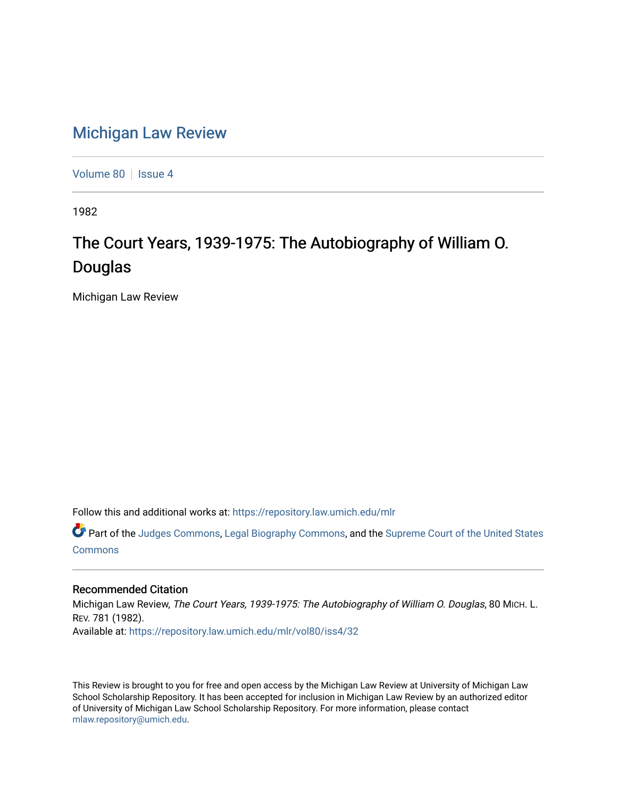## [Michigan Law Review](https://repository.law.umich.edu/mlr)

[Volume 80](https://repository.law.umich.edu/mlr/vol80) | [Issue 4](https://repository.law.umich.edu/mlr/vol80/iss4)

1982

## The Court Years, 1939-1975: The Autobiography of William O. Douglas

Michigan Law Review

Follow this and additional works at: [https://repository.law.umich.edu/mlr](https://repository.law.umich.edu/mlr?utm_source=repository.law.umich.edu%2Fmlr%2Fvol80%2Fiss4%2F32&utm_medium=PDF&utm_campaign=PDFCoverPages) 

Part of the [Judges Commons,](http://network.bepress.com/hgg/discipline/849?utm_source=repository.law.umich.edu%2Fmlr%2Fvol80%2Fiss4%2F32&utm_medium=PDF&utm_campaign=PDFCoverPages) [Legal Biography Commons,](http://network.bepress.com/hgg/discipline/834?utm_source=repository.law.umich.edu%2Fmlr%2Fvol80%2Fiss4%2F32&utm_medium=PDF&utm_campaign=PDFCoverPages) and the [Supreme Court of the United States](http://network.bepress.com/hgg/discipline/1350?utm_source=repository.law.umich.edu%2Fmlr%2Fvol80%2Fiss4%2F32&utm_medium=PDF&utm_campaign=PDFCoverPages)  [Commons](http://network.bepress.com/hgg/discipline/1350?utm_source=repository.law.umich.edu%2Fmlr%2Fvol80%2Fiss4%2F32&utm_medium=PDF&utm_campaign=PDFCoverPages)

## Recommended Citation

Michigan Law Review, The Court Years, 1939-1975: The Autobiography of William O. Douglas, 80 MICH. L. REV. 781 (1982). Available at: [https://repository.law.umich.edu/mlr/vol80/iss4/32](https://repository.law.umich.edu/mlr/vol80/iss4/32?utm_source=repository.law.umich.edu%2Fmlr%2Fvol80%2Fiss4%2F32&utm_medium=PDF&utm_campaign=PDFCoverPages) 

This Review is brought to you for free and open access by the Michigan Law Review at University of Michigan Law School Scholarship Repository. It has been accepted for inclusion in Michigan Law Review by an authorized editor of University of Michigan Law School Scholarship Repository. For more information, please contact [mlaw.repository@umich.edu.](mailto:mlaw.repository@umich.edu)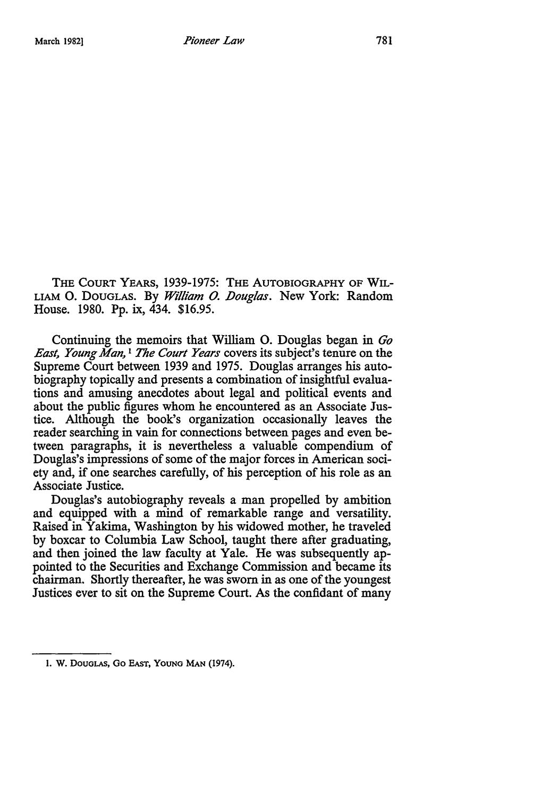THE COURT YEARS, 1939-1975: THE AUTOBIOGRAPHY OF WIL-LIAM O. DOUGLAS. By *William O. Douglas*. New York: Random House. 1980. Pp. ix, 434. \$16.95.

Continuing the memoirs that William 0. Douglas began in *Go East, Young Man,* 1 *The Court Years* covers its subject's tenure on the Supreme Court between 1939 and 1975. Douglas arranges his autobiography topically and presents a combination of insightful evaluations and amusing anecdotes about legal and political events and about the public figures whom he encountered as an Associate Justice. Although the book's organization occasionally leaves the reader searching in vain for connections between pages and even between paragraphs, it is nevertheless a valuable compendium of Douglas's impressions of some of the major forces in American society and, if one searches carefully, of his perception of his role as an Associate Justice.

Douglas's autobiography reveals a man propelled by ambition and equipped with a mind of remarkable range and versatility. Raised in Yakima, Washington by his widowed mother, he traveled by boxcar to Columbia Law School, taught there after graduating, and then joined the law faculty at Yale. He was subsequently appointed to the Securities and Exchange Commission and became its chairman. Shortly thereafter, he was sworn in as one of the youngest Justices ever to sit on the Supreme Court. As the confidant of many

l. W. DOUGLAS, Go EAST, YOUNG MAN (1974).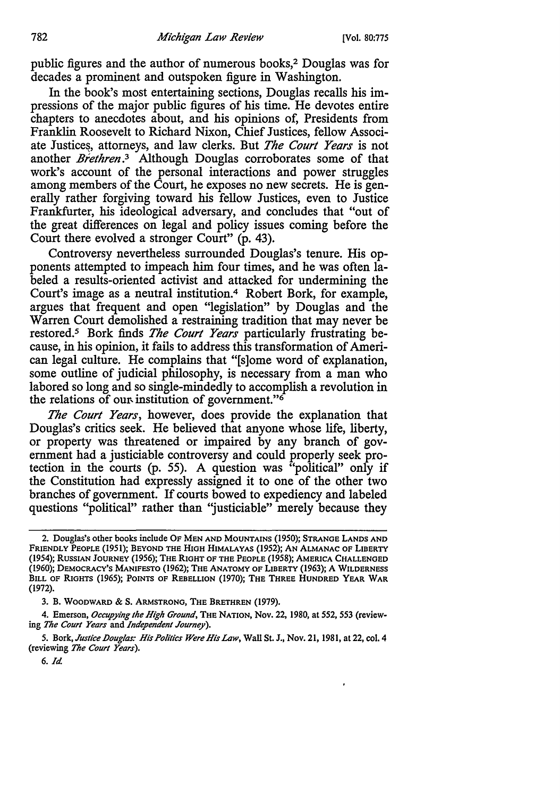public figures and the author of numerous books,2 Douglas was for decades a prominent and outspoken figure in Washington.

In the book's most entertaining sections, Douglas recalls his impressions of the major public figures of his time. He devotes entire chapters to anecdotes about, and his opinions of, Presidents from Franklin Roosevelt to Richard Nixon, Chief Justices, fellow Associate Justices, attorneys, and law clerks. But *The Court Years* is not another *Brethren*.<sup>3</sup> Although Douglas corroborates some of that work's account of the personal interactions and power struggles among members of the Court, he exposes no new secrets. He is generally rather forgiving toward his fellow Justices, even to Justice Frankfurter, his ideological adversary, and concludes that "out of the great differences on legal and policy issues coming before the Court there evolved a stronger Court" (p. 43).

Controversy nevertheless surrounded Douglas's tenure. His opponents attempted to impeach him four times, and he was often labeled a results-oriented activist and attacked for undermining the Court's image as a neutral institution.4 Robert Bork, for example, argues that frequent and open "legislation" by Douglas and the Warren Court demolished a restraining tradition that may never be restored.5 Bork finds *The Court Years* particularly frustrating because, in his opinion, it fails to address this transformation of American legal culture. He complains that "[s]ome word of explanation, some outline of judicial philosophy, is necessary from a man who labored so long and so single-mindedly to accomplish a revolution in the relations of our institution of government." $\delta$ 

*The Court Years,* however, does provide the explanation that Douglas's critics seek. He believed that anyone whose life, liberty, or property was threatened or impaired by any branch of government had a justiciable controversy and could properly seek protection in the courts (p. 55). A question was "political" only if the Constitution had expressly assigned it to one of the other two branches of government. If courts bowed to expediency and labeled questions "political" rather than 'justiciable" merely because they

<sup>2.</sup> Douglas's other books include OF MEN AND MOUNTAINS (1950); STRANGE LANDS AND FRIENDLY PEOPLE (1951); BEYOND THE HIGH HIMALAYAS (1952); AN ALMANAC OF LIBERTY (1954); RUSSIAN JOURNEY (1956); THE RIGHT OF THE PEOPLE (1958); AMERICA CHALLENGED (1960); DEMOCRACY'S MANIFESTO (1962); THE ANATOMY OF LIBERTY (1963); A WILDERNESS BILL OF RIGHTS (1965); POINTS OF REBELLION (1970); THE THREE HUNDRED YEAR WAR (1972).

<sup>3.</sup> B. WOODWARD & S. ARMSTRONG, THE BRETHREN (1979).

<sup>4.</sup> Emerson, *Occupying the High Ground,* THE NATION, Nov. 22, 1980, at 552, 553 (reviewing *The Court Years* and *Independent Journey).* 

<sup>5.</sup> Bork, Justice Douglas: His Politics Were His Law, Wall St. J., Nov. 21, 1981, at 22, col. 4 (reviewing *The Court Years).* 

<sup>6.</sup> *Id.*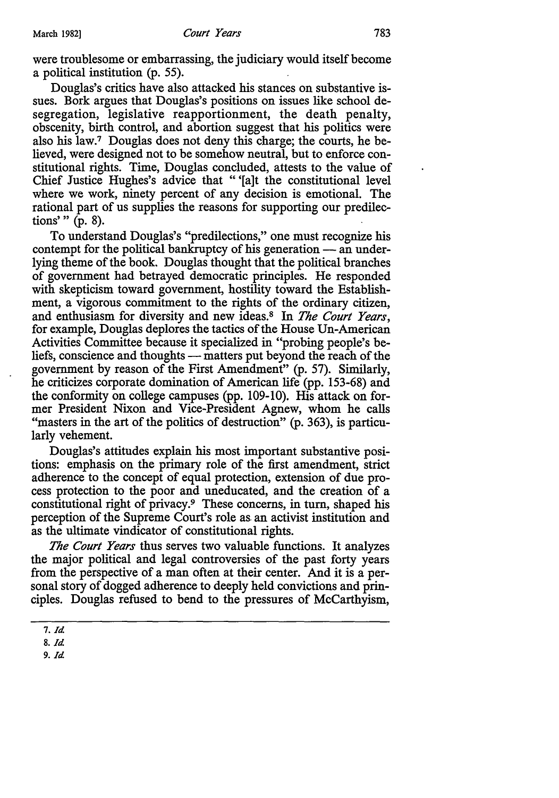were troublesome or embarrassing, the judiciary would itself become a political institution (p. 55).

Douglas's critics have also attacked his stances on substantive issues. Bork argues that Douglas's positions on issues like school desegregation, legislative reapportionment, the death penalty, obscenity, birth control, and abortion suggest that his politics were also his law.7 Douglas does not deny this charge; the courts, he believed, were designed not to be somehow neutral, but to enforce constitutional rights. Time, Douglas concluded, attests to the value of Chief Justice Hughes's advice that "'[a]t the constitutional level where we work, ninety percent of any decision is emotional. The rational part of us supplies the reasons for supporting our predilections' " (p. 8).

To understand Douglas's "predilections," one must recognize his contempt for the political bankruptcy of his generation - an underlying theme of the book. Douglas thought that the political branches of government had betrayed democratic principles. He responded with skepticism toward government, hostility toward the Establishment, a vigorous commitment to the rights of the ordinary citizen, and enthusiasm for diversity and new ideas. 8 In *The Court Years,*  for example, Douglas deplores the tactics of the House Un-American Activities Committee because it specialized in "probing people's beliefs, conscience and thoughts — matters put beyond the reach of the government by reason of the First Amendment" (p. 57). Similarly, he criticizes corporate domination of American life (pp. 153-68) and the conformity on college campuses (pp. 109-10). His attack on former President Nixon and Vice-President Agnew, whom he calls "masters in the art of the politics of destruction" (p. 363), is particularly vehement.

Douglas's attitudes explain his most important substantive positions: emphasis on the primary role of the first amendment, strict adherence to the concept of equal protection, extension of due process protection to the poor and uneducated, and the creation of a constitutional right of privacy.9 These concerns, in tum, shaped his perception of the Supreme Court's role as. an activist institution and as the ultimate vindicator of constitutional rights.

*The Court Years* thus serves two valuable functions. It analyzes the major political and legal controversies of the past forty years from the perspective of a man often at their center. And it is a personal story of dogged adherence to deeply held convictions and principles. Douglas refused to bend to the pressures of McCarthyism,

9. *Id* 

*<sup>1.</sup> Id* 

<sup>8.</sup> *Id*